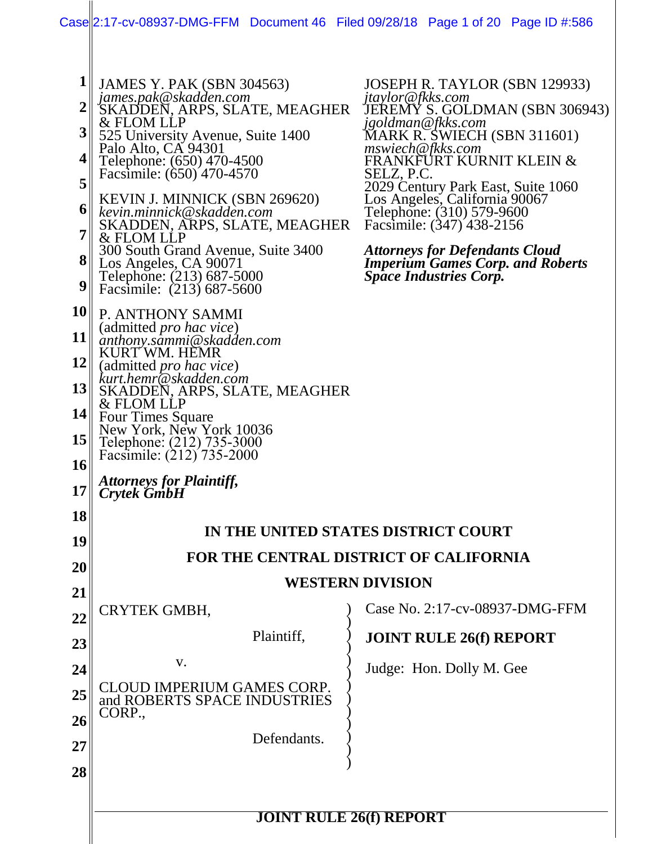|                                                                                                                  | Case  2:17-cv-08937-DMG-FFM Document 46 Filed 09/28/18 Page 1 of 20 Page ID #:586                                                                                                                                                                                                                                                                                                                                                                                                                                                                                                                                                                                                                                                                                                                                                                     |                                                                                                                                                                                                                                                                                                                                                                                                                                                                    |  |
|------------------------------------------------------------------------------------------------------------------|-------------------------------------------------------------------------------------------------------------------------------------------------------------------------------------------------------------------------------------------------------------------------------------------------------------------------------------------------------------------------------------------------------------------------------------------------------------------------------------------------------------------------------------------------------------------------------------------------------------------------------------------------------------------------------------------------------------------------------------------------------------------------------------------------------------------------------------------------------|--------------------------------------------------------------------------------------------------------------------------------------------------------------------------------------------------------------------------------------------------------------------------------------------------------------------------------------------------------------------------------------------------------------------------------------------------------------------|--|
| $\mathbf 1$<br>3<br>4<br>5<br>6<br>$\overline{7}$<br>8<br>9<br>11<br><b>12</b><br> 13 <br> 14 <br>15<br>16<br>17 | <b>JAMES Y. PAK (SBN 304563)</b><br>james.pak@skadden.com<br>SKADDEN, ARPS, SLATE, MEAGHER<br>& FLOM LLP<br>525 University Avenue, Suite 1400<br>Palo Alto, CA 94301<br>Telephone: (650) 470-4500<br>Facsimile: (650) 470-4570<br>KEVIN J. MINNICK (SBN 269620)<br>kevin.minnick@skadden.com<br>SKADDEN, ARPS, SLATE, MEAGHER<br>& FLOM LLP<br>300 South Grand Avenue, Suite 3400<br>Los Angeles, CA 90071<br>Telephone: (213) 687-5000<br>Facsimile: (213) 687-5600<br>10 P. ANTHONY SAMMI<br>(admitted <i>pro hac vice</i> )<br>anthony.sammi@skadden.com<br>KURT WM. HEMR<br>(admitted <i>pro hac vice</i> )<br>kurt.hemr@skadden.com<br>SKADDEN, ARPS, SLATE, MEAGHER<br>& FLOM LLP<br>Four Times Square<br>New York, New York 10036<br>Telephone: (212) 735-3000<br>Facsimile: (212) 735-2000<br><b>Attorneys for Plaintiff,<br/>Crytek GmbH</b> | JOSEPH R. TAYLOR (SBN 129933)<br>jtaylor@fkks.com<br>JEREMÝ S. GOLDMAN (SBN 306943)<br>jgoldman@fkks.com<br>MARK R. ŠWIECH (SBN 311601)<br>mswiech@fkks.com<br>FRANKFÜRT KURNIT KLEIN &<br>SELZ, P.C.<br>2029 Century Park East, Suite 1060<br>Los Angeles, California 90067<br>Telephone: (310) 579-9600<br>Facsimile: (347) 438-2156<br><b>Attorneys for Defendants Cloud</b><br><b>Imperium Games Corp. and Roberts</b><br><i><b>Space Industries Corp.</b></i> |  |
| 18                                                                                                               |                                                                                                                                                                                                                                                                                                                                                                                                                                                                                                                                                                                                                                                                                                                                                                                                                                                       |                                                                                                                                                                                                                                                                                                                                                                                                                                                                    |  |
| 19                                                                                                               |                                                                                                                                                                                                                                                                                                                                                                                                                                                                                                                                                                                                                                                                                                                                                                                                                                                       | IN THE UNITED STATES DISTRICT COURT                                                                                                                                                                                                                                                                                                                                                                                                                                |  |
| 20                                                                                                               |                                                                                                                                                                                                                                                                                                                                                                                                                                                                                                                                                                                                                                                                                                                                                                                                                                                       | FOR THE CENTRAL DISTRICT OF CALIFORNIA                                                                                                                                                                                                                                                                                                                                                                                                                             |  |
| 21                                                                                                               |                                                                                                                                                                                                                                                                                                                                                                                                                                                                                                                                                                                                                                                                                                                                                                                                                                                       | <b>WESTERN DIVISION</b>                                                                                                                                                                                                                                                                                                                                                                                                                                            |  |
| 22                                                                                                               | CRYTEK GMBH,                                                                                                                                                                                                                                                                                                                                                                                                                                                                                                                                                                                                                                                                                                                                                                                                                                          | Case No. 2:17-cv-08937-DMG-FFM                                                                                                                                                                                                                                                                                                                                                                                                                                     |  |
| 23                                                                                                               | Plaintiff,                                                                                                                                                                                                                                                                                                                                                                                                                                                                                                                                                                                                                                                                                                                                                                                                                                            | <b>JOINT RULE 26(f) REPORT</b>                                                                                                                                                                                                                                                                                                                                                                                                                                     |  |
| 24                                                                                                               | V.                                                                                                                                                                                                                                                                                                                                                                                                                                                                                                                                                                                                                                                                                                                                                                                                                                                    | Judge: Hon. Dolly M. Gee                                                                                                                                                                                                                                                                                                                                                                                                                                           |  |
| 25                                                                                                               | D IMPERIUM GAMES CORP.<br>and ROBERTS SPACE INDUSTRIES                                                                                                                                                                                                                                                                                                                                                                                                                                                                                                                                                                                                                                                                                                                                                                                                |                                                                                                                                                                                                                                                                                                                                                                                                                                                                    |  |
| 26                                                                                                               | CORP.                                                                                                                                                                                                                                                                                                                                                                                                                                                                                                                                                                                                                                                                                                                                                                                                                                                 |                                                                                                                                                                                                                                                                                                                                                                                                                                                                    |  |
| 27                                                                                                               | Defendants.                                                                                                                                                                                                                                                                                                                                                                                                                                                                                                                                                                                                                                                                                                                                                                                                                                           |                                                                                                                                                                                                                                                                                                                                                                                                                                                                    |  |
| 28                                                                                                               |                                                                                                                                                                                                                                                                                                                                                                                                                                                                                                                                                                                                                                                                                                                                                                                                                                                       |                                                                                                                                                                                                                                                                                                                                                                                                                                                                    |  |
|                                                                                                                  |                                                                                                                                                                                                                                                                                                                                                                                                                                                                                                                                                                                                                                                                                                                                                                                                                                                       |                                                                                                                                                                                                                                                                                                                                                                                                                                                                    |  |
|                                                                                                                  | <b>JOINT RULE 26(f) REPORT</b>                                                                                                                                                                                                                                                                                                                                                                                                                                                                                                                                                                                                                                                                                                                                                                                                                        |                                                                                                                                                                                                                                                                                                                                                                                                                                                                    |  |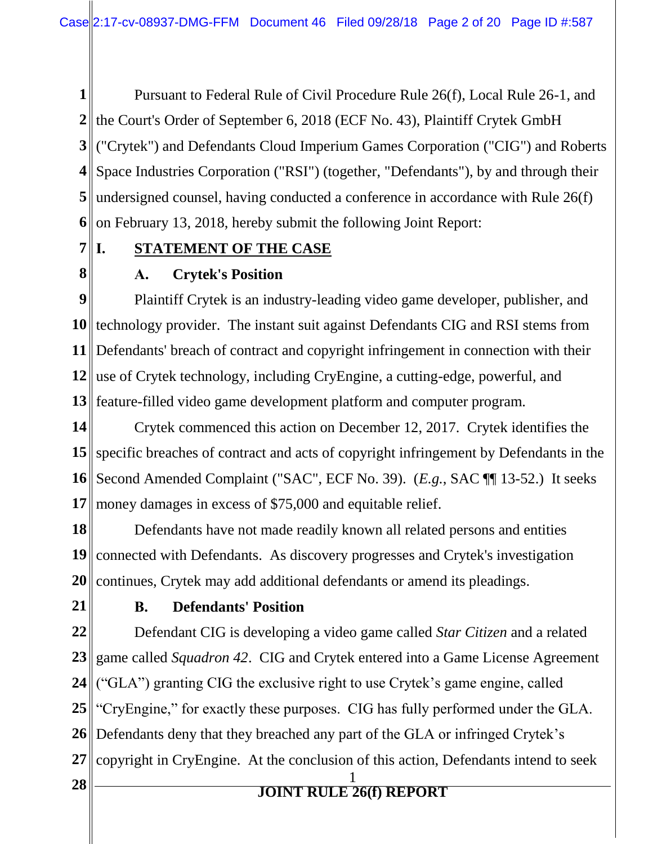**1** the Court's Order of September 6, 2018 (ECF No. 43), Plaintiff Crytek GmbH ("Crytek") and Defendants Cloud Imperium Games Corporation ("CIG") and Roberts Space Industries Corporation ("RSI") (together, "Defendants"), by and through their undersigned counsel, having conducted a conference in accordance with Rule 26(f) on February 13, 2018, hereby submit the following Joint Report: Pursuant to Federal Rule of Civil Procedure Rule 26(f), Local Rule 26-1, and

 $7$ <sup> $\parallel$ </sup>**I**. **I. STATEMENT OF THE CASE**

### **8**

#### **A. Crytek's Position**

**9** 10 technology provider. The instant suit against Defendants CIG and RSI stems from 11 Defendants' breach of contract and copyright infringement in connection with their **12** use of Crytek technology, including CryEngine, a cutting-edge, powerful, and **13** feature-filled video game development platform and computer program. Plaintiff Crytek is an industry-leading video game developer, publisher, and

**14 15** specific breaches of contract and acts of copyright infringement by Defendants in the **16 17** Crytek commenced this action on December 12, 2017. Crytek identifies the Second Amended Complaint ("SAC", ECF No. 39). (*E.g.*, SAC ¶¶ 13-52.) It seeks money damages in excess of \$75,000 and equitable relief.

**18 19** connected with Defendants. As discovery progresses and Crytek's investigation **20** Defendants have not made readily known all related persons and entities continues, Crytek may add additional defendants or amend its pleadings.

**21**

#### **B. Defendants' Position**

**22 23 24 25 26 27** Defendant CIG is developing a video game called *Star Citizen* and a related game called *Squadron 42*. CIG and Crytek entered into a Game License Agreement ("GLA") granting CIG the exclusive right to use Crytek's game engine, called "CryEngine," for exactly these purposes. CIG has fully performed under the GLA. Defendants deny that they breached any part of the GLA or infringed Crytek's copyright in CryEngine. At the conclusion of this action, Defendants intend to seek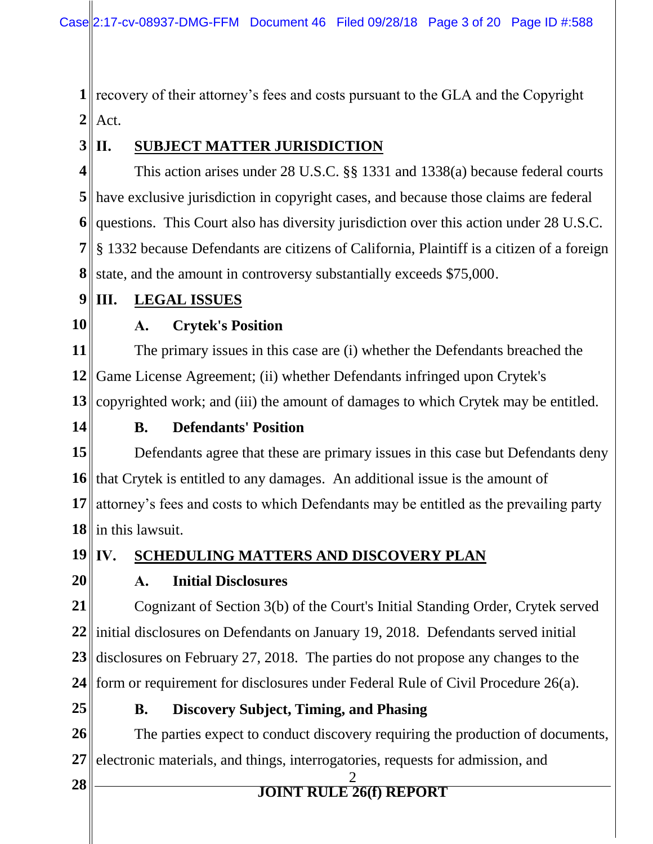**1** recovery of their attorney's fees and costs pursuant to the GLA and the Copyright  $2$  | Act.

#### $3$  $\Pi$ . **II. SUBJECT MATTER JURISDICTION**

**4** have exclusive jurisdiction in copyright cases, and because those claims are federal questions. This Court also has diversity jurisdiction over this action under 28 U.S.C. § 1332 because Defendants are citizens of California, Plaintiff is a citizen of a foreign state, and the amount in controversy substantially exceeds \$75,000. This action arises under 28 U.S.C. §§ 1331 and 1338(a) because federal courts

#### **9 III. LEGAL ISSUES**

**10**

### **A. Crytek's Position**

**11 12** Game License Agreement; (ii) whether Defendants infringed upon Crytek's 13 copyrighted work; and (iii) the amount of damages to which Crytek may be entitled. The primary issues in this case are (i) whether the Defendants breached the

**14**

#### **B. Defendants' Position**

**15** 16 that Crytek is entitled to any damages. An additional issue is the amount of 17 attorney's fees and costs to which Defendants may be entitled as the prevailing party **18** in this lawsuit. Defendants agree that these are primary issues in this case but Defendants deny

**ISCHEDULING MATTERS AND DISCOVERY PLAN** 

 $19$  IV. **20**

### **A. Initial Disclosures**

**21** 22<sup>|</sup>| initial disclosures on Defendants on January 19, 2018. Defendants served initial **23 24** Cognizant of Section 3(b) of the Court's Initial Standing Order, Crytek served disclosures on February 27, 2018. The parties do not propose any changes to the form or requirement for disclosures under Federal Rule of Civil Procedure 26(a).

**25**

#### **B. Discovery Subject, Timing, and Phasing**

**26 27** The parties expect to conduct discovery requiring the production of documents, electronic materials, and things, interrogatories, requests for admission, and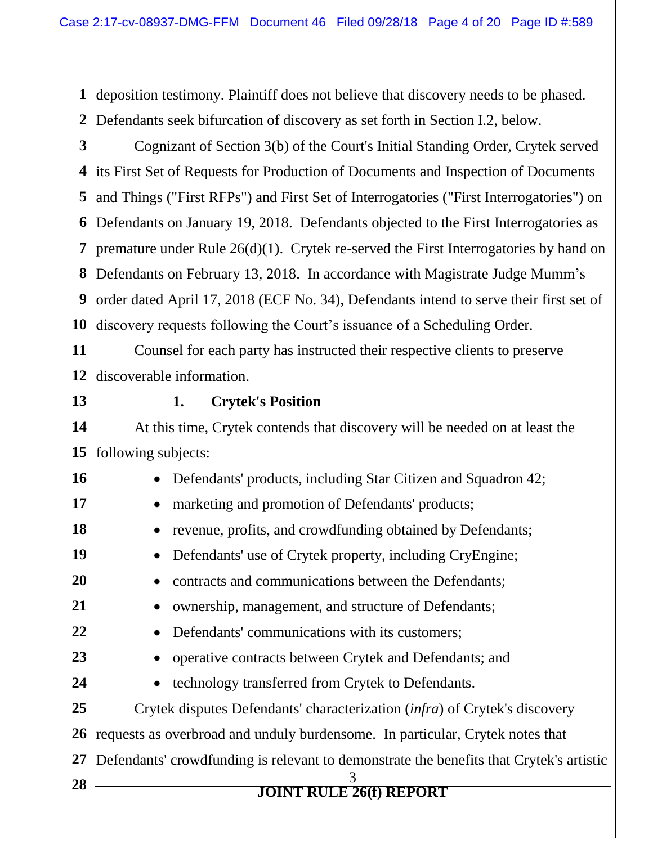**1** deposition testimony. Plaintiff does not believe that discovery needs to be phased. **2** Defendants seek bifurcation of discovery as set forth in Section I.2, below.

**3 4** its First Set of Requests for Production of Documents and Inspection of Documents **5** and Things ("First RFPs") and First Set of Interrogatories ("First Interrogatories") on **6** Defendants on January 19, 2018. Defendants objected to the First Interrogatories as **7** premature under Rule  $26(d)(1)$ . Crytek re-served the First Interrogatories by hand on **8** Defendants on February 13, 2018. In accordance with Magistrate Judge Mumm's **9** order dated April 17, 2018 (ECF No. 34), Defendants intend to serve their first set of **10** Cognizant of Section 3(b) of the Court's Initial Standing Order, Crytek served discovery requests following the Court's issuance of a Scheduling Order.

**11 12** discoverable information. Counsel for each party has instructed their respective clients to preserve

**13**

#### **1. Crytek's Position**

**14 15** At this time, Crytek contends that discovery will be needed on at least the following subjects:

**16 17 18 19 20 21 22 23 24 25 26 27 <sup>28</sup>**<sup>3</sup> **JOINT RULE 26(f) REPORT** • Defendants' products, including Star Citizen and Squadron 42; • marketing and promotion of Defendants' products; • revenue, profits, and crowdfunding obtained by Defendants; • Defendants' use of Crytek property, including CryEngine; • contracts and communications between the Defendants: • ownership, management, and structure of Defendants; • Defendants' communications with its customers: • operative contracts between Crytek and Defendants; and • technology transferred from Crytek to Defendants. Crytek disputes Defendants' characterization (*infra*) of Crytek's discovery requests as overbroad and unduly burdensome. In particular, Crytek notes that Defendants' crowdfunding is relevant to demonstrate the benefits that Crytek's artistic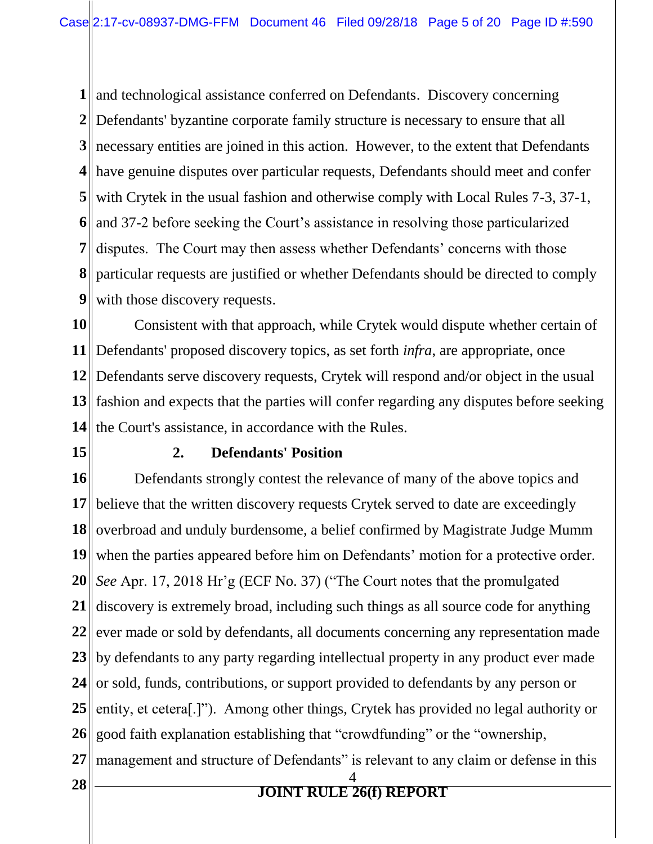and technological assistance conferred on Defendants. Discovery concerning Defendants' byzantine corporate family structure is necessary to ensure that all necessary entities are joined in this action. However, to the extent that Defendants have genuine disputes over particular requests, Defendants should meet and confer with Crytek in the usual fashion and otherwise comply with Local Rules 7-3, 37-1, and 37-2 before seeking the Court's assistance in resolving those particularized **7**  particular requests are justified or whether Defendants should be directed to comply **9** disputes. The Court may then assess whether Defendants' concerns with those with those discovery requests.

**10 11** Defendants' proposed discovery topics, as set forth *infra*, are appropriate, once **12** Defendants serve discovery requests, Crytek will respond and/or object in the usual **13** fashion and expects that the parties will confer regarding any disputes before seeking 14 the Court's assistance, in accordance with the Rules. Consistent with that approach, while Crytek would dispute whether certain of

**15**

#### **2. Defendants' Position**

**16 17** 18 overbroad and unduly burdensome, a belief confirmed by Magistrate Judge Mumm 19 when the parties appeared before him on Defendants' motion for a protective order. **20** *See* Apr. 17, 2018 Hr'g (ECF No. 37) ("The Court notes that the promulgated 21 discovery is extremely broad, including such things as all source code for anything 22 ever made or sold by defendants, all documents concerning any representation made 23 by defendants to any party regarding intellectual property in any product ever made 24 or sold, funds, contributions, or support provided to defendants by any person or **25 26 27 <sup>28</sup>**<sup>4</sup> **JOINT RULE 26(f) REPORT** Defendants strongly contest the relevance of many of the above topics and believe that the written discovery requests Crytek served to date are exceedingly entity, et cetera[.]"). Among other things, Crytek has provided no legal authority or good faith explanation establishing that "crowdfunding" or the "ownership, management and structure of Defendants" is relevant to any claim or defense in this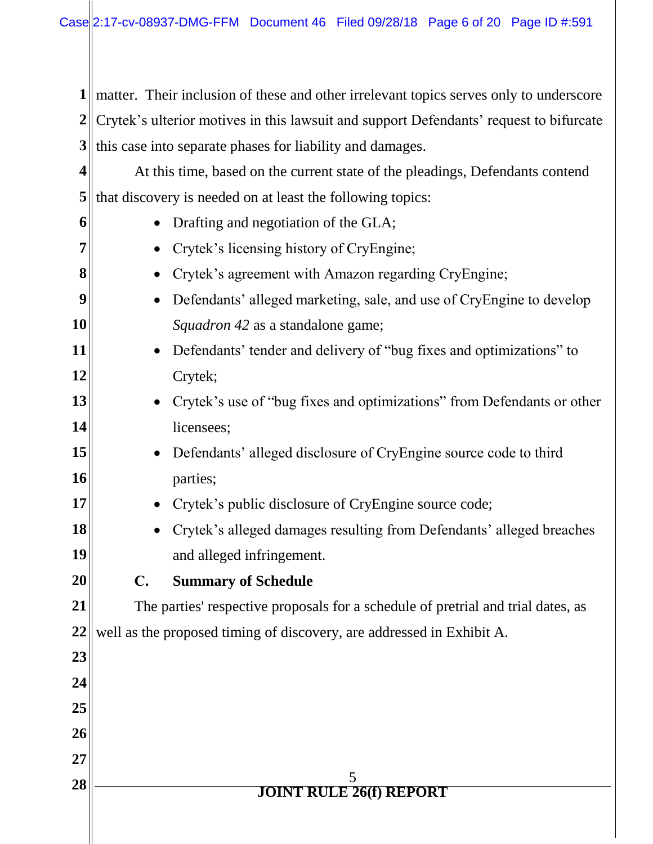**1** | matter. Their inclusion of these and other irrelevant topics serves only to underscore **2** Crytek's ulterior motives in this lawsuit and support Defendants' request to bifurcate **3** this case into separate phases for liability and damages.

**4 5** that discovery is needed on at least the following topics: At this time, based on the current state of the pleadings, Defendants contend

| 6  | Drafting and negotiation of the GLA;                                                |  |  |
|----|-------------------------------------------------------------------------------------|--|--|
| 7  | Crytek's licensing history of CryEngine;<br>$\bullet$                               |  |  |
| 8  | Crytek's agreement with Amazon regarding CryEngine;<br>$\bullet$                    |  |  |
| 9  | Defendants' alleged marketing, sale, and use of CryEngine to develop<br>$\bullet$   |  |  |
| 10 | Squadron 42 as a standalone game;                                                   |  |  |
| 11 | Defendants' tender and delivery of "bug fixes and optimizations" to<br>$\bullet$    |  |  |
| 12 | Crytek;                                                                             |  |  |
| 13 | Crytek's use of "bug fixes and optimizations" from Defendants or other<br>$\bullet$ |  |  |
| 14 | licensees;                                                                          |  |  |
| 15 | Defendants' alleged disclosure of CryEngine source code to third<br>$\bullet$       |  |  |
| 16 | parties;                                                                            |  |  |
| 17 | Crytek's public disclosure of CryEngine source code;<br>$\bullet$                   |  |  |
| 18 | Crytek's alleged damages resulting from Defendants' alleged breaches<br>$\bullet$   |  |  |
| 19 | and alleged infringement.                                                           |  |  |
| 20 | $\mathbf{C}$ .<br><b>Summary of Schedule</b>                                        |  |  |
| 21 | The parties' respective proposals for a schedule of pretrial and trial dates, as    |  |  |
| 22 | well as the proposed timing of discovery, are addressed in Exhibit A.               |  |  |
| 23 |                                                                                     |  |  |
| 24 |                                                                                     |  |  |
| 25 |                                                                                     |  |  |
| 26 |                                                                                     |  |  |
| 27 |                                                                                     |  |  |
| 28 | 5<br><b>JOINT RULE 26(f) REPORT</b>                                                 |  |  |
|    |                                                                                     |  |  |
|    |                                                                                     |  |  |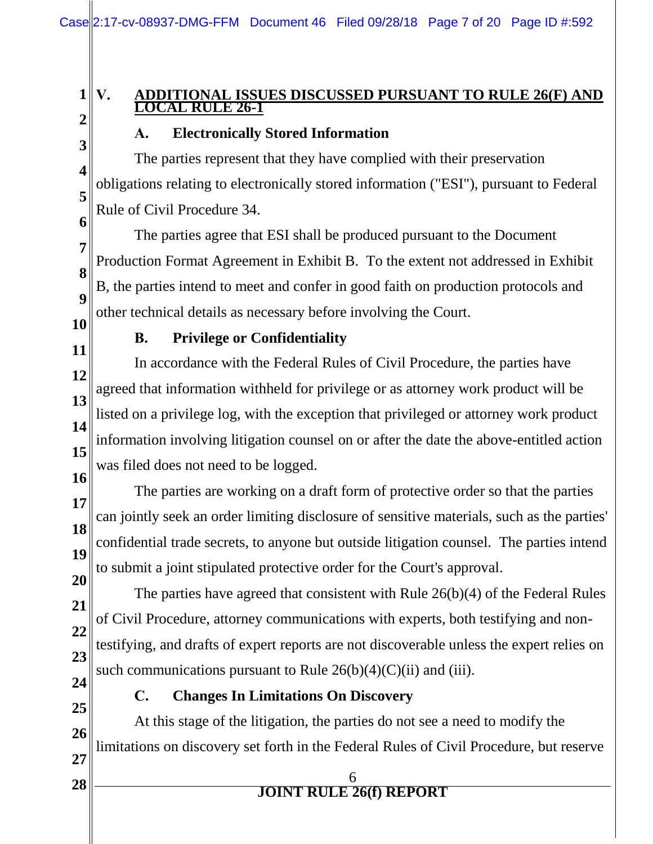#### **1 V. ADDITIONAL ISSUES DISCUSSED PURSUANT TO RULE 26(F) AND LOCAL RULE 26-1**

**2 3**

**4**

**5**

**7** 

**8**

**9**

### **A. Electronically Stored Information**

**6** The parties represent that they have complied with their preservation obligations relating to electronically stored information ("ESI"), pursuant to Federal Rule of Civil Procedure 34.

The parties agree that ESI shall be produced pursuant to the Document Production Format Agreement in Exhibit B. To the extent not addressed in Exhibit B, the parties intend to meet and confer in good faith on production protocols and other technical details as necessary before involving the Court.

**10**

#### **B. Privilege or Confidentiality**

**11 12 13 14 15 16** In accordance with the Federal Rules of Civil Procedure, the parties have agreed that information withheld for privilege or as attorney work product will be listed on a privilege log, with the exception that privileged or attorney work product information involving litigation counsel on or after the date the above-entitled action was filed does not need to be logged.

**17 18 19 20** The parties are working on a draft form of protective order so that the parties can jointly seek an order limiting disclosure of sensitive materials, such as the parties' confidential trade secrets, to anyone but outside litigation counsel. The parties intend to submit a joint stipulated protective order for the Court's approval.

**21 22 23 24** The parties have agreed that consistent with Rule 26(b)(4) of the Federal Rules of Civil Procedure, attorney communications with experts, both testifying and nontestifying, and drafts of expert reports are not discoverable unless the expert relies on such communications pursuant to Rule  $26(b)(4)(C)(ii)$  and (iii).

**25**

#### **C. Changes In Limitations On Discovery**

**26 27** At this stage of the litigation, the parties do not see a need to modify the limitations on discovery set forth in the Federal Rules of Civil Procedure, but reserve

- **<sup>28</sup>**<sup>6</sup> **JOINT RULE 26(f) REPORT**
-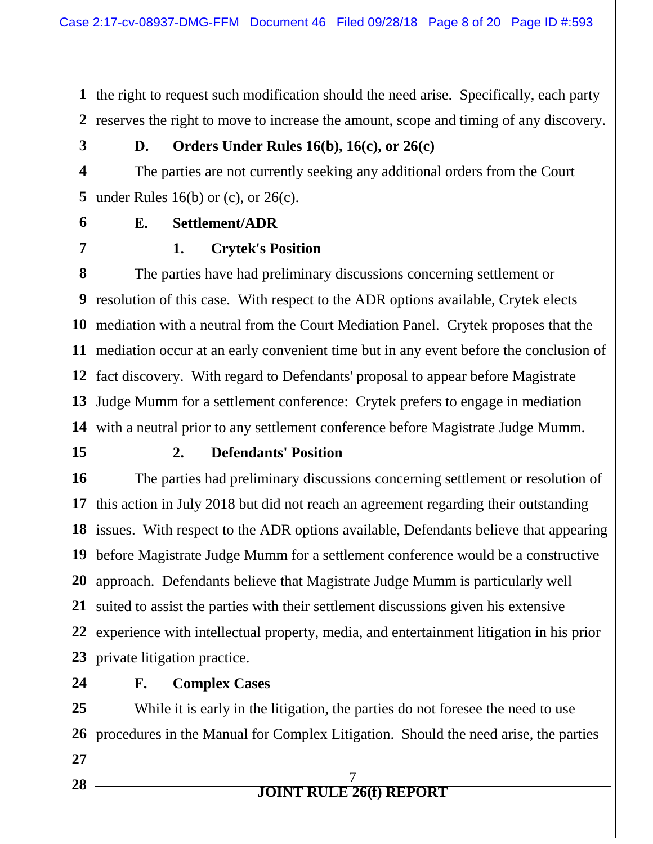**1** the right to request such modification should the need arise. Specifically, each party 2<sup> $\parallel$ </sup> reserves the right to move to increase the amount, scope and timing of any discovery.

**3**

#### **D. Orders Under Rules 16(b), 16(c), or 26(c)**

**4 5** under Rules 16(b) or (c), or 26(c). The parties are not currently seeking any additional orders from the Court

**6 7** 

### **E. Settlement/ADR**

#### **1. Crytek's Position**

**8** resolution of this case. With respect to the ADR options available, Crytek elects mediation with a neutral from the Court Mediation Panel. Crytek proposes that the mediation occur at an early convenient time but in any event before the conclusion of fact discovery. With regard to Defendants' proposal to appear before Magistrate Judge Mumm for a settlement conference: Crytek prefers to engage in mediation with a neutral prior to any settlement conference before Magistrate Judge Mumm. The parties have had preliminary discussions concerning settlement or

**15**

#### **2. Defendants' Position**

**16** 17 this action in July 2018 but did not reach an agreement regarding their outstanding 18 issues. With respect to the ADR options available, Defendants believe that appearing **19** before Magistrate Judge Mumm for a settlement conference would be a constructive **20** approach. Defendants believe that Magistrate Judge Mumm is particularly well 21 suited to assist the parties with their settlement discussions given his extensive **22 23** private litigation practice. The parties had preliminary discussions concerning settlement or resolution of experience with intellectual property, media, and entertainment litigation in his prior

**24**

#### **F. Complex Cases**

**25** 26 procedures in the Manual for Complex Litigation. Should the need arise, the parties While it is early in the litigation, the parties do not foresee the need to use

**27**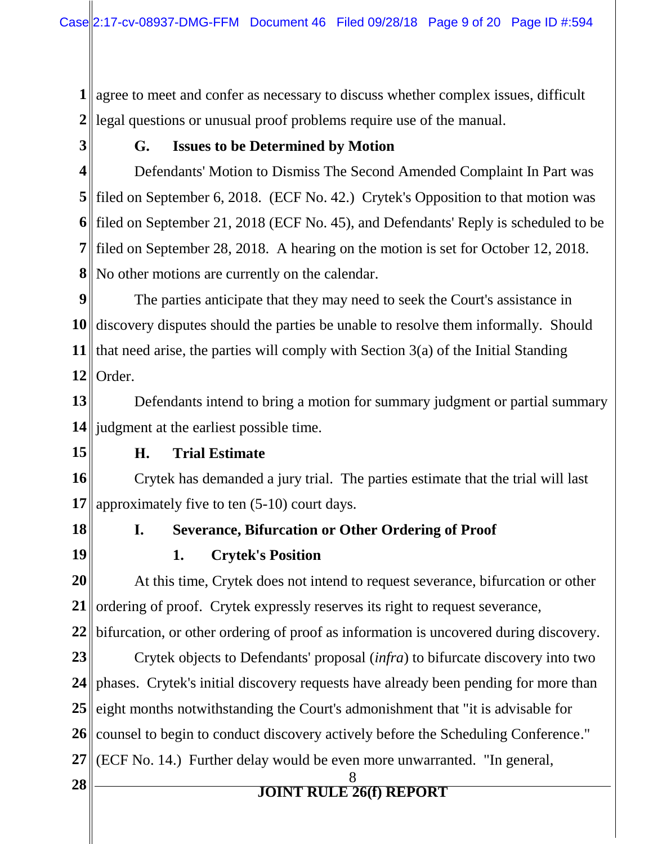**1** agree to meet and confer as necessary to discuss whether complex issues, difficult **2** legal questions or unusual proof problems require use of the manual.

**3**

#### **G. Issues to be Determined by Motion**

**4** filed on September 6, 2018. (ECF No. 42.) Crytek's Opposition to that motion was filed on September 21, 2018 (ECF No. 45), and Defendants' Reply is scheduled to be filed on September 28, 2018. A hearing on the motion is set for October 12, 2018. No other motions are currently on the calendar. Defendants' Motion to Dismiss The Second Amended Complaint In Part was

**9** 10 discovery disputes should the parties be unable to resolve them informally. Should **11** that need arise, the parties will comply with Section  $3(a)$  of the Initial Standing **12** Order. The parties anticipate that they may need to seek the Court's assistance in

**13 14** judgment at the earliest possible time. Defendants intend to bring a motion for summary judgment or partial summary

**15**

#### **H. Trial Estimate**

**16 17** Crytek has demanded a jury trial. The parties estimate that the trial will last approximately five to ten (5-10) court days.

**18 19**

### **I. Severance, Bifurcation or Other Ordering of Proof 1. Crytek's Position**

**20** 21 ordering of proof. Crytek expressly reserves its right to request severance, **22** At this time, Crytek does not intend to request severance, bifurcation or other bifurcation, or other ordering of proof as information is uncovered during discovery.

**23** 24 || phases. Crytek's initial discovery requests have already been pending for more than **25** 26 counsel to begin to conduct discovery actively before the Scheduling Conference." **27** (ECF No. 14.) Further delay would be even more unwarranted. "In general, Crytek objects to Defendants' proposal (*infra*) to bifurcate discovery into two eight months notwithstanding the Court's admonishment that "it is advisable for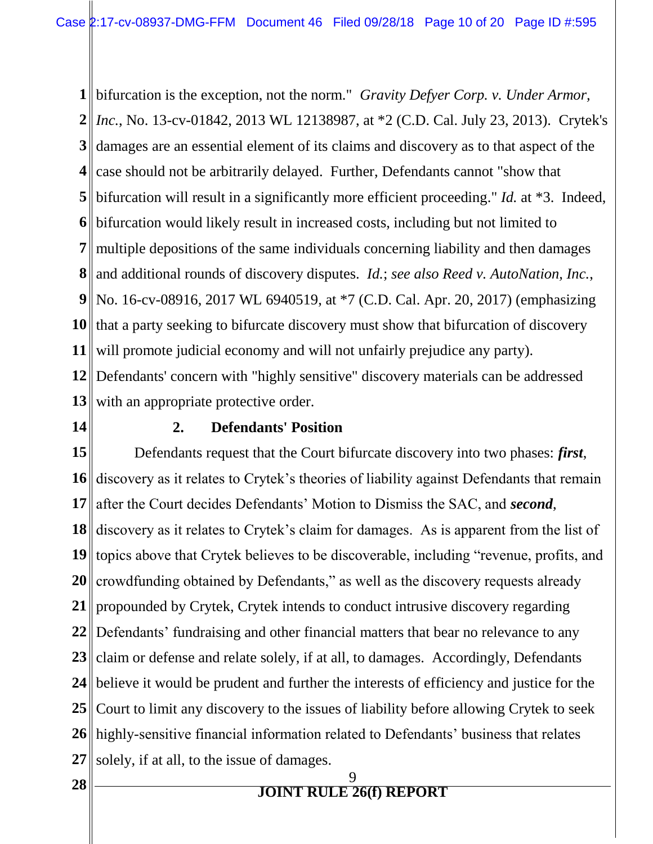**1** bifurcation is the exception, not the norm." *Gravity Defyer Corp. v. Under Armor,* **2** *Inc.*, No. 13-cv-01842, 2013 WL 12138987, at \*2 (C.D. Cal. July 23, 2013). Crytek's **3** damages are an essential element of its claims and discovery as to that aspect of the **4** case should not be arbitrarily delayed. Further, Defendants cannot "show that **5** bifurcation will result in a significantly more efficient proceeding." *Id.* at \*3. Indeed, **6** bifurcation would likely result in increased costs, including but not limited to **7** multiple depositions of the same individuals concerning liability and then damages **8** and additional rounds of discovery disputes. *Id.*; *see also Reed v. AutoNation, Inc.*, **9** No. 16-cv-08916, 2017 WL 6940519, at \*7 (C.D. Cal. Apr. 20, 2017) (emphasizing **10 11** 12 Defendants' concern with "highly sensitive" discovery materials can be addressed 13<sup>|</sup> with an appropriate protective order. that a party seeking to bifurcate discovery must show that bifurcation of discovery will promote judicial economy and will not unfairly prejudice any party).

**14**

#### **2. Defendants' Position**

**15** 16 discovery as it relates to Crytek's theories of liability against Defendants that remain **17** 18 discovery as it relates to Crytek's claim for damages. As is apparent from the list of **19** topics above that Crytek believes to be discoverable, including "revenue, profits, and 20 crowdfunding obtained by Defendants," as well as the discovery requests already **21** propounded by Crytek, Crytek intends to conduct intrusive discovery regarding **22** Defendants' fundraising and other financial matters that bear no relevance to any **23** 24 believe it would be prudent and further the interests of efficiency and justice for the **25** 26 highly-sensitive financial information related to Defendants' business that relates **27** Defendants request that the Court bifurcate discovery into two phases: *first*, after the Court decides Defendants' Motion to Dismiss the SAC, and *second*, claim or defense and relate solely, if at all, to damages. Accordingly, Defendants Court to limit any discovery to the issues of liability before allowing Crytek to seek solely, if at all, to the issue of damages.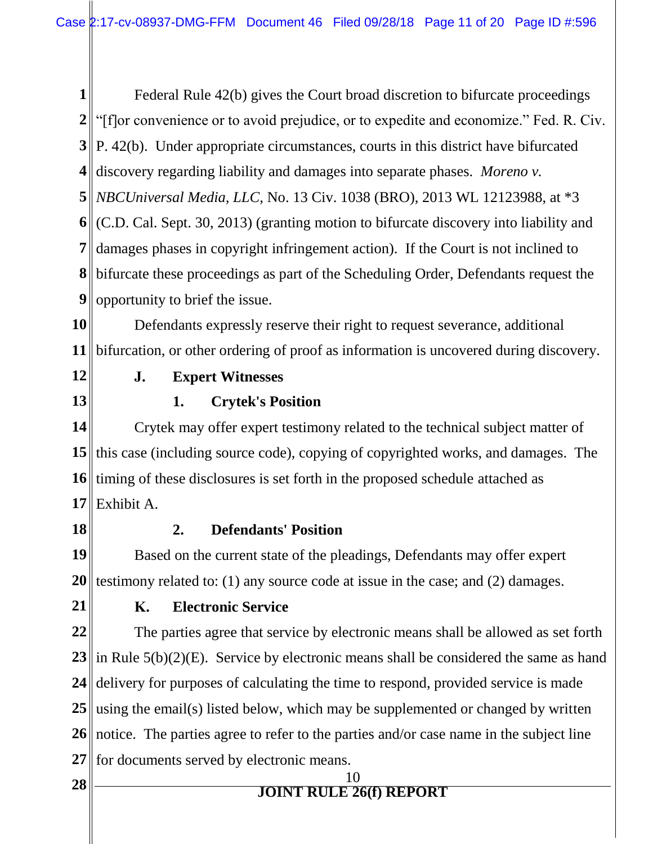**1** 2<sup>||</sup> "[f]or convenience or to avoid prejudice, or to expedite and economize." Fed. R. Civ. **3** P. 42(b). Under appropriate circumstances, courts in this district have bifurcated **4** discovery regarding liability and damages into separate phases. *Moreno v*. **5** *NBCUniversal Media, LLC*, No. 13 Civ. 1038 (BRO), 2013 WL 12123988, at \*3 **6** (C.D. Cal. Sept. 30, 2013) (granting motion to bifurcate discovery into liability and **7 8** bifurcate these proceedings as part of the Scheduling Order, Defendants request the **9** Federal Rule 42(b) gives the Court broad discretion to bifurcate proceedings damages phases in copyright infringement action). If the Court is not inclined to opportunity to brief the issue.

**10 11** Defendants expressly reserve their right to request severance, additional bifurcation, or other ordering of proof as information is uncovered during discovery.

**12**

**13**

#### **J. Expert Witnesses**

#### **1. Crytek's Position**

**14 15 16 17** Crytek may offer expert testimony related to the technical subject matter of this case (including source code), copying of copyrighted works, and damages. The timing of these disclosures is set forth in the proposed schedule attached as Exhibit A.

**18**

#### **2. Defendants' Position**

**19 20** testimony related to: (1) any source code at issue in the case; and (2) damages. Based on the current state of the pleadings, Defendants may offer expert

**21**

#### **K. Electronic Service**

**22 23** in Rule 5(b)(2)(E). Service by electronic means shall be considered the same as hand **24 25** 26 notice. The parties agree to refer to the parties and/or case name in the subject line 27 for documents served by electronic means. The parties agree that service by electronic means shall be allowed as set forth delivery for purposes of calculating the time to respond, provided service is made using the email(s) listed below, which may be supplemented or changed by written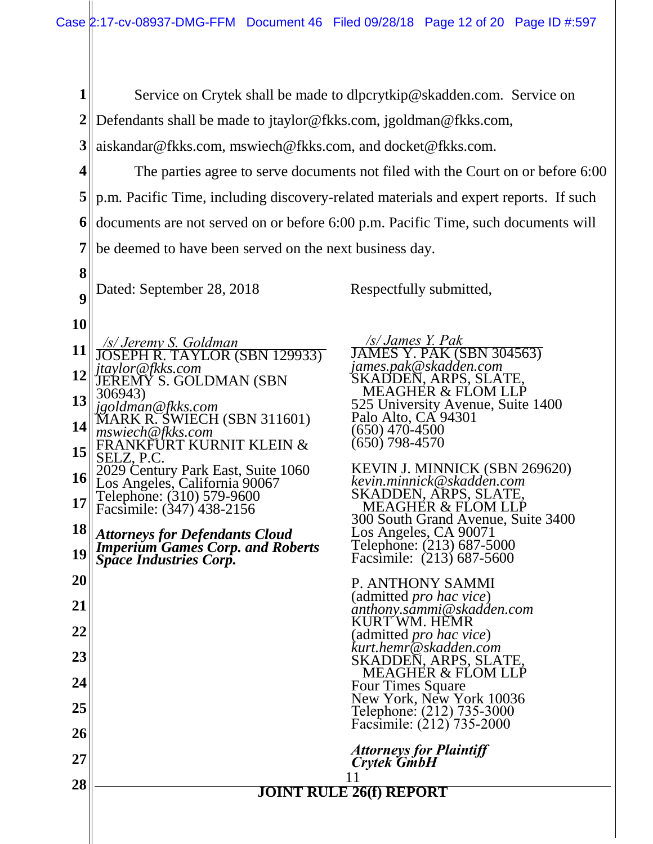**1 2** Defendants shall be made to jtaylor@fkks.com, jgoldman@fkks.com, Service on Crytek shall be made to dlpcrytkip@skadden.com. Service on

**3** aiskandar@fkks.com, mswiech@fkks.com, and docket@fkks.com.

**4 5** p.m. Pacific Time, including discovery-related materials and expert reports. If such **6 7**  The parties agree to serve documents not filed with the Court on or before 6:00 documents are not served on or before 6:00 p.m. Pacific Time, such documents will be deemed to have been served on the next business day.

Dated: September 28, 2018 Respectfully submitted,

**10**

**8**

**9**

**11 12 13 14 15 16 17 18 19 20 21 22 23 24 25 26 27 <sup>28</sup>**<sup>11</sup> **JOINT RULE 26(f) REPORT**  */s/ Jeremy S. Goldman*  JOSEPH R. TAYLOR (SBN 129933) *jtaylor@fkks.com* JEREMY S. GOLDMAN (SBN 306943) *jgoldman@fkks.com* MARK R. SWIECH (SBN 311601) *mswiech@fkks.com* FRANKFÜRT KURNIT KLEIN & SELZ, P.C. 2029 Century Park East, Suite 1060 Los Angeles, California 90067 Telephone: (310) 579-9600 Facsimile: (347) 438-2156 *Attorneys for Defendants Cloud Imperium Games Corp. and Roberts Space Industries Corp.*

 */s/ James Y. Pak*  JAMES Y. PAK (SBN 304563) *james.pak@skadden.com* SKADDEN, ARPS, SLATE, MEAGHER & FLOM LLP 525 University Avenue, Suite 1400 Palo Alto, CA 94301 (650) 470-4500 (650) 798-4570

KEVIN J. MINNICK (SBN 269620) *kevin.minnick@skadden.com* SKADDEN, ARPS, SLATE, MEAGHER & FLOM LLP 300 South Grand Avenue, Suite 3400 Los Angeles, CA 90071 Telephone: (213) 687-5000 Facsimile: (213) 687-5600

P. ANTHONY SAMMI (admitted *pro hac vice*) *anthony.sammi@skadden.com* KURT WM. HEMR (admitted *pro hac vice*) *kurt.hemr@skadden.com* SKADDEN, ARPS, SLATE, MEAGHER & FLOM LLP Four Times Square New York, New York 10036 Telephone: (212) 735-3000 Facsimile: (212) 735-2000

*Attorneys for Plaintiff Crytek GmbH*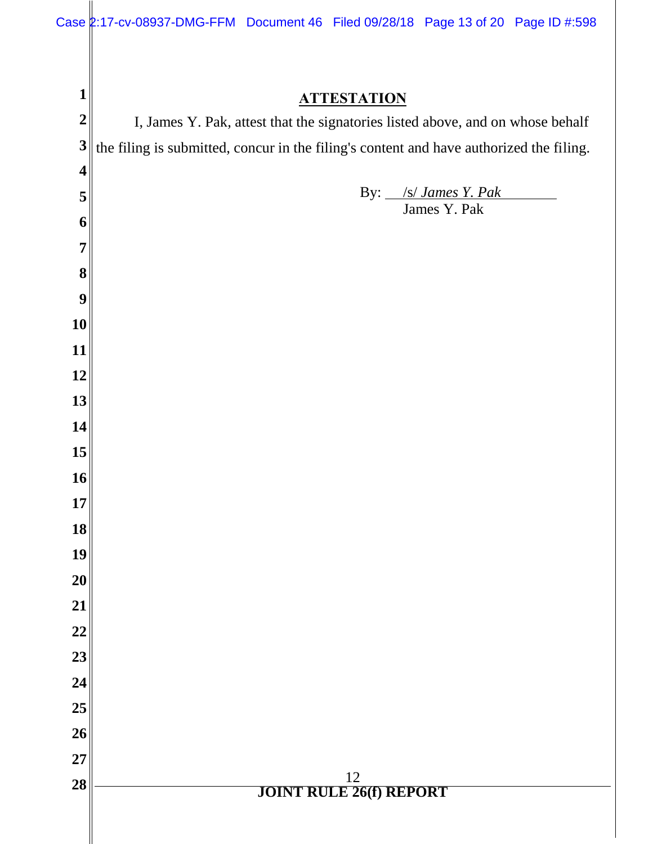| $\mathbf 1$             | <b>ATTESTATION</b>                                                                      |  |  |
|-------------------------|-----------------------------------------------------------------------------------------|--|--|
| $\boldsymbol{2}$        | I, James Y. Pak, attest that the signatories listed above, and on whose behalf          |  |  |
| 3                       | the filing is submitted, concur in the filing's content and have authorized the filing. |  |  |
| $\overline{\mathbf{4}}$ |                                                                                         |  |  |
| 5                       | By: /s/ James Y. Pak<br>James Y. Pak                                                    |  |  |
| 6                       |                                                                                         |  |  |
| $\overline{7}$          |                                                                                         |  |  |
| 8                       |                                                                                         |  |  |
| 9                       |                                                                                         |  |  |
| 10                      |                                                                                         |  |  |
| 11                      |                                                                                         |  |  |
| 12                      |                                                                                         |  |  |
| 13                      |                                                                                         |  |  |
| 14                      |                                                                                         |  |  |
| 15                      |                                                                                         |  |  |
| 16                      |                                                                                         |  |  |
| 17                      |                                                                                         |  |  |
| 18                      |                                                                                         |  |  |
| 19                      |                                                                                         |  |  |
| 20                      |                                                                                         |  |  |
| 21                      |                                                                                         |  |  |
| 22<br>23                |                                                                                         |  |  |
| 24                      |                                                                                         |  |  |
| 25                      |                                                                                         |  |  |
| 26                      |                                                                                         |  |  |
| 27                      |                                                                                         |  |  |
| 28                      | $\frac{12}{\textbf{JOINT RULE 26(f) REPORT}}$                                           |  |  |
|                         |                                                                                         |  |  |
|                         |                                                                                         |  |  |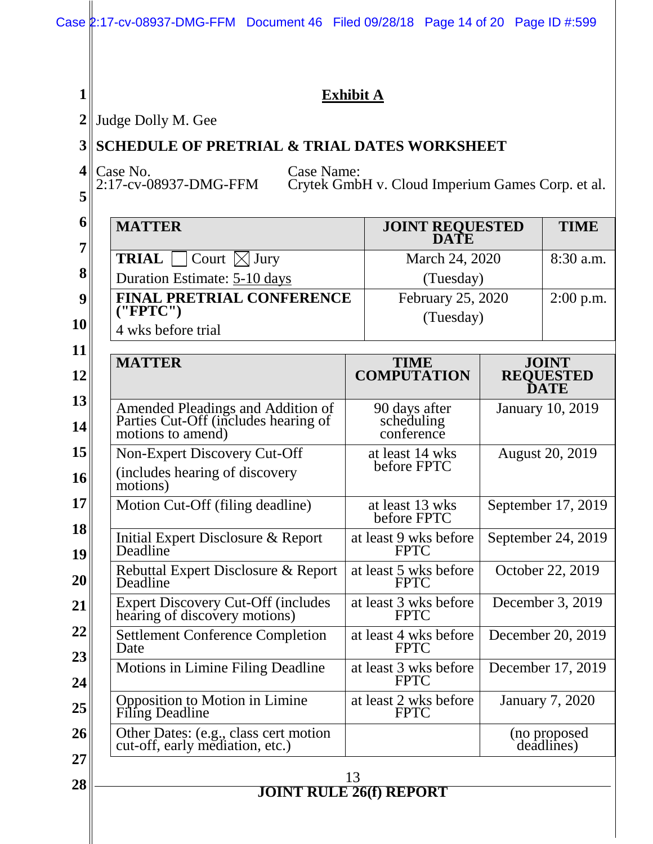| $\mathbf{1}$    | <b>Exhibit A</b>                                                                               |                                      |                            |                                 |  |
|-----------------|------------------------------------------------------------------------------------------------|--------------------------------------|----------------------------|---------------------------------|--|
| $\overline{2}$  | Judge Dolly M. Gee                                                                             |                                      |                            |                                 |  |
| 3               | <b>SCHEDULE OF PRETRIAL &amp; TRIAL DATES WORKSHEET</b>                                        |                                      |                            |                                 |  |
| $\vert 4 \vert$ | Case No.<br>Case Name:                                                                         |                                      |                            |                                 |  |
| 5               | 2:17-cv-08937-DMG-FFM<br>Crytek GmbH v. Cloud Imperium Games Corp. et al.                      |                                      |                            |                                 |  |
| 6               | <b>MATTER</b>                                                                                  |                                      |                            | <b>TIME</b>                     |  |
| 7               |                                                                                                | <b>JOINT REQUESTED<br/>DATE</b>      |                            |                                 |  |
| 8               | <b>TRIAL</b><br>Court $\boxtimes$ Jury<br>March 24, 2020                                       |                                      | 8:30 a.m.                  |                                 |  |
|                 | Duration Estimate: 5-10 days<br>(Tuesday)                                                      |                                      |                            |                                 |  |
| 9               | <b>FINAL PRETRIAL CONFERENCE</b><br>('FPTC")                                                   | February 25, 2020<br>(Tuesday)       |                            | $2:00$ p.m.                     |  |
| <b>10</b>       | 4 wks before trial                                                                             |                                      |                            |                                 |  |
| 11              | <b>MATTER</b>                                                                                  | <b>TIME</b>                          |                            | <b>JOINT</b>                    |  |
| 12              |                                                                                                | <b>COMPUTATION</b>                   |                            | <b>REQUESTED</b><br><b>DATE</b> |  |
| 13              | 90 days after                                                                                  |                                      | <b>January 10, 2019</b>    |                                 |  |
| 14              | Amended Pleadings and Addition of<br>Parties Cut-Off (includes hearing of<br>motions to amend) | scheduling<br>conference             |                            |                                 |  |
| 15              | Non-Expert Discovery Cut-Off                                                                   | at least 14 wks                      | <b>August 20, 2019</b>     |                                 |  |
| 16              | before FPTC<br>(includes hearing of discovery<br>motions)                                      |                                      |                            |                                 |  |
| 17 <sup>1</sup> | Motion Cut-Off (filing deadline)                                                               | at least 13 wks<br>before FPTC       | September 17, 2019         |                                 |  |
| 18<br>19        | Initial Expert Disclosure & Report<br>Deadline                                                 | at least 9 wks before<br><b>FPTC</b> | September 24, 2019         |                                 |  |
| 20              | Rebuttal Expert Disclosure & Report<br>Deadline                                                | at least 5 wks before<br><b>FPTC</b> |                            | October 22, 2019                |  |
| 21              | <b>Expert Discovery Cut-Off (includes)</b><br>hearing of discovery motions)                    | at least 3 wks before<br><b>FPTC</b> | December 3, 2019           |                                 |  |
| 22              | <b>Settlement Conference Completion</b><br>Date                                                | at least 4 wks before<br><b>FPTC</b> | December 20, 2019          |                                 |  |
| 23<br>24        | Motions in Limine Filing Deadline                                                              | at least 3 wks before<br><b>FPTC</b> | December 17, 2019          |                                 |  |
| 25              | <b>Opposition to Motion in Limine</b><br><b>Filing Deadline</b>                                | at least 2 wks before<br><b>FPTC</b> | <b>January 7, 2020</b>     |                                 |  |
| 26              | Other Dates: (e.g., class cert motion<br>cut-off, early mediation, etc.)                       |                                      | (no proposed<br>deadlines) |                                 |  |
| 27              |                                                                                                |                                      |                            |                                 |  |
| 28              |                                                                                                | 13<br><b>JOINT RULE 26(f) REPORT</b> |                            |                                 |  |
|                 |                                                                                                |                                      |                            |                                 |  |
|                 |                                                                                                |                                      |                            |                                 |  |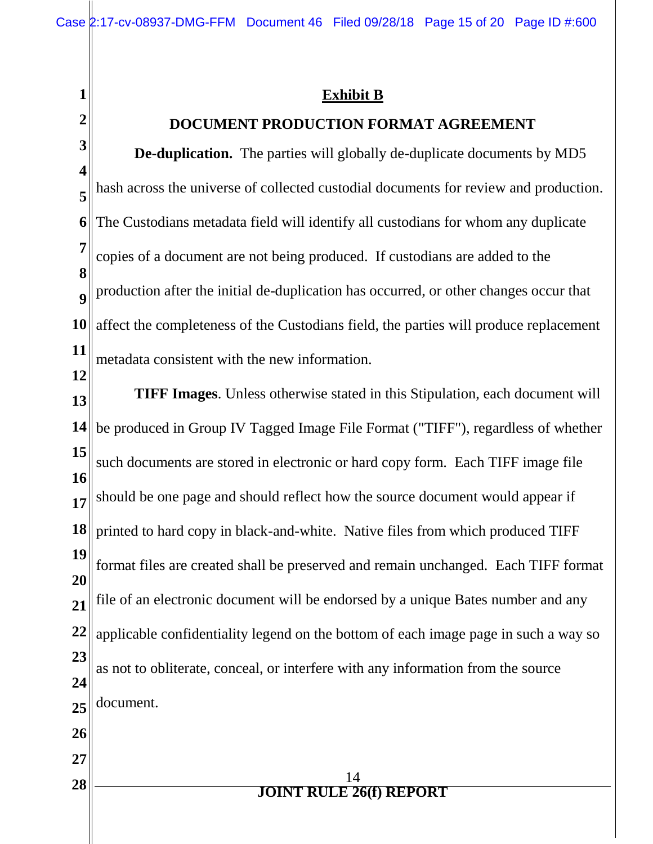**1**

**2**

**Exhibit B**

### **DOCUMENT PRODUCTION FORMAT AGREEMENT**

**3 4 5 6 7 8 9 10 11 De-duplication.** The parties will globally de-duplicate documents by MD5 hash across the universe of collected custodial documents for review and production. The Custodians metadata field will identify all custodians for whom any duplicate copies of a document are not being produced. If custodians are added to the production after the initial de-duplication has occurred, or other changes occur that affect the completeness of the Custodians field, the parties will produce replacement metadata consistent with the new information.

**12 13 14 15 16 17 18 19 20 21 22 23 24 25 26 27 <sup>28</sup>**<sup>14</sup> **JOINT RULE 26(f) REPORT TIFF Images**. Unless otherwise stated in this Stipulation, each document will be produced in Group IV Tagged Image File Format ("TIFF"), regardless of whether such documents are stored in electronic or hard copy form. Each TIFF image file should be one page and should reflect how the source document would appear if printed to hard copy in black-and-white. Native files from which produced TIFF format files are created shall be preserved and remain unchanged. Each TIFF format file of an electronic document will be endorsed by a unique Bates number and any applicable confidentiality legend on the bottom of each image page in such a way so as not to obliterate, conceal, or interfere with any information from the source document.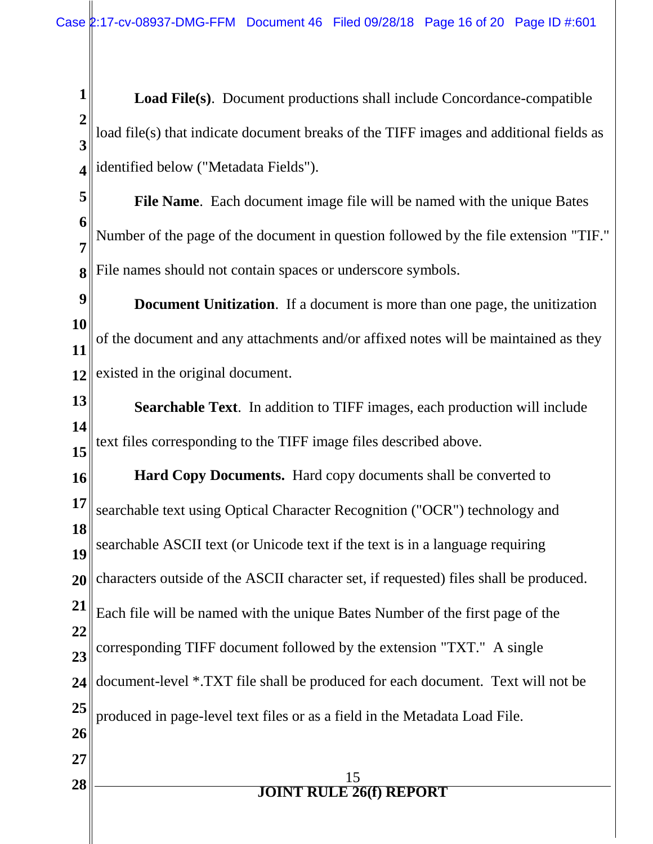**1 2 3 4 Load File(s)**. Document productions shall include Concordance-compatible load file(s) that indicate document breaks of the TIFF images and additional fields as identified below ("Metadata Fields").

**5 6 7 8 File Name**. Each document image file will be named with the unique Bates Number of the page of the document in question followed by the file extension "TIF." File names should not contain spaces or underscore symbols.

**9 10 11 12 Document Unitization**. If a document is more than one page, the unitization of the document and any attachments and/or affixed notes will be maintained as they existed in the original document.

**13 14 15 Searchable Text**.In addition to TIFF images, each production will include text files corresponding to the TIFF image files described above.

**16 17 18 19 20 21 22 23 24 25 26 27 <sup>28</sup>**<sup>15</sup> **JOINT RULE 26(f) REPORT Hard Copy Documents.** Hard copy documents shall be converted to searchable text using Optical Character Recognition ("OCR") technology and searchable ASCII text (or Unicode text if the text is in a language requiring characters outside of the ASCII character set, if requested) files shall be produced. Each file will be named with the unique Bates Number of the first page of the corresponding TIFF document followed by the extension "TXT." A single document-level \*.TXT file shall be produced for each document. Text will not be produced in page-level text files or as a field in the Metadata Load File.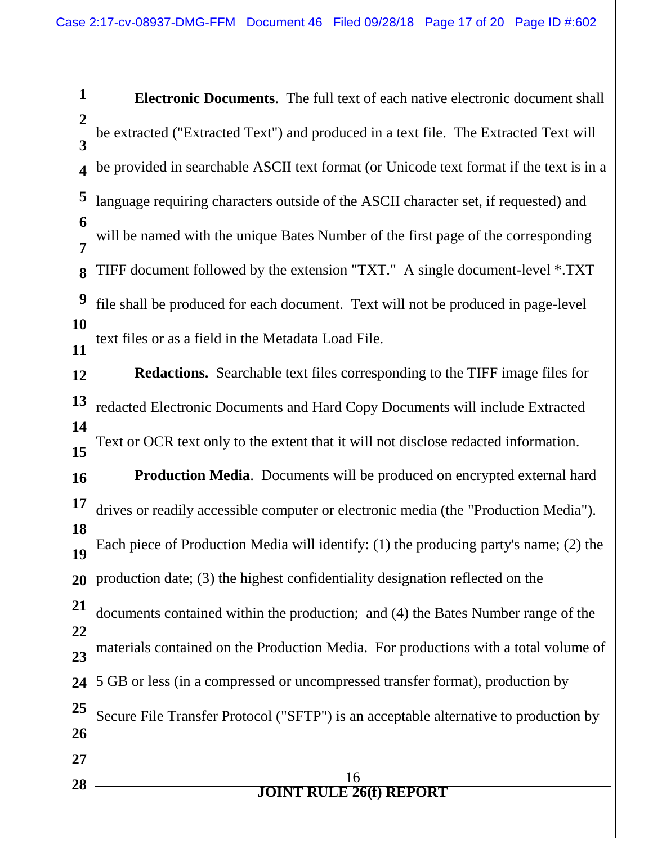**1 2 3 4 5 6 7 8 9 10 11 Electronic Documents**.The full text of each native electronic document shall be extracted ("Extracted Text") and produced in a text file. The Extracted Text will be provided in searchable ASCII text format (or Unicode text format if the text is in a language requiring characters outside of the ASCII character set, if requested) and will be named with the unique Bates Number of the first page of the corresponding TIFF document followed by the extension "TXT." A single document-level \*.TXT file shall be produced for each document. Text will not be produced in page-level text files or as a field in the Metadata Load File.

**12 13 14 15 Redactions.** Searchable text files corresponding to the TIFF image files for redacted Electronic Documents and Hard Copy Documents will include Extracted Text or OCR text only to the extent that it will not disclose redacted information.

**16 17 18 19 20 21 22 23 24 25 26 27 Production Media**. Documents will be produced on encrypted external hard drives or readily accessible computer or electronic media (the "Production Media"). Each piece of Production Media will identify: (1) the producing party's name; (2) the production date; (3) the highest confidentiality designation reflected on the documents contained within the production; and (4) the Bates Number range of the materials contained on the Production Media. For productions with a total volume of 5 GB or less (in a compressed or uncompressed transfer format), production by Secure File Transfer Protocol ("SFTP") is an acceptable alternative to production by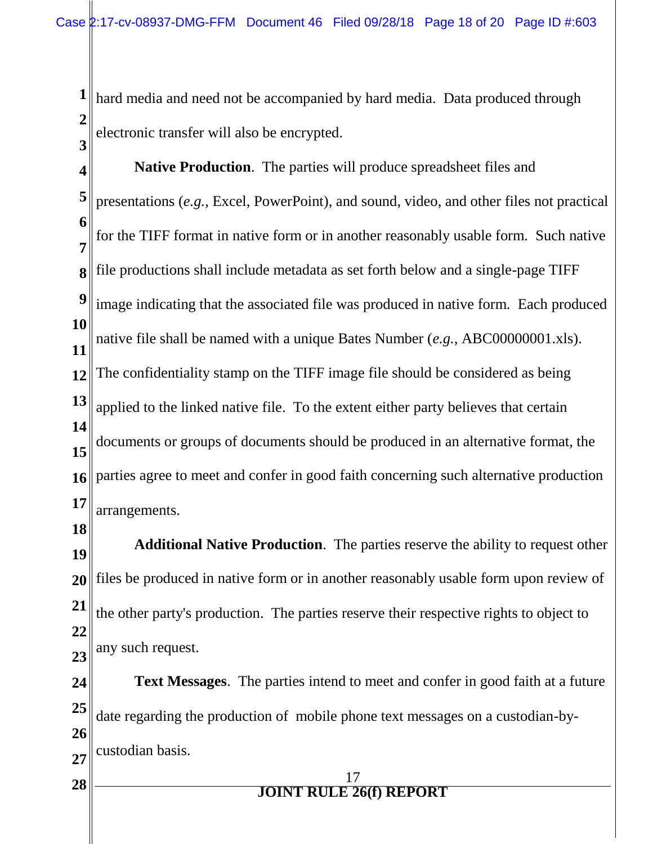**1 2 3** hard media and need not be accompanied by hard media. Data produced through electronic transfer will also be encrypted.

- **4 5 6 7 8 9 10 11 12 13 14 15 16 17 Native Production**. The parties will produce spreadsheet files and presentations (*e.g.*, Excel, PowerPoint), and sound, video, and other files not practical for the TIFF format in native form or in another reasonably usable form. Such native file productions shall include metadata as set forth below and a single-page TIFF image indicating that the associated file was produced in native form. Each produced native file shall be named with a unique Bates Number (*e.g.*, ABC00000001.xls). The confidentiality stamp on the TIFF image file should be considered as being applied to the linked native file. To the extent either party believes that certain documents or groups of documents should be produced in an alternative format, the parties agree to meet and confer in good faith concerning such alternative production arrangements.
- **18**

**19 20 21 22 23 Additional Native Production**. The parties reserve the ability to request other files be produced in native form or in another reasonably usable form upon review of the other party's production. The parties reserve their respective rights to object to any such request.

**24 25 26 27 Text Messages**. The parties intend to meet and confer in good faith at a future date regarding the production of mobile phone text messages on a custodian-bycustodian basis.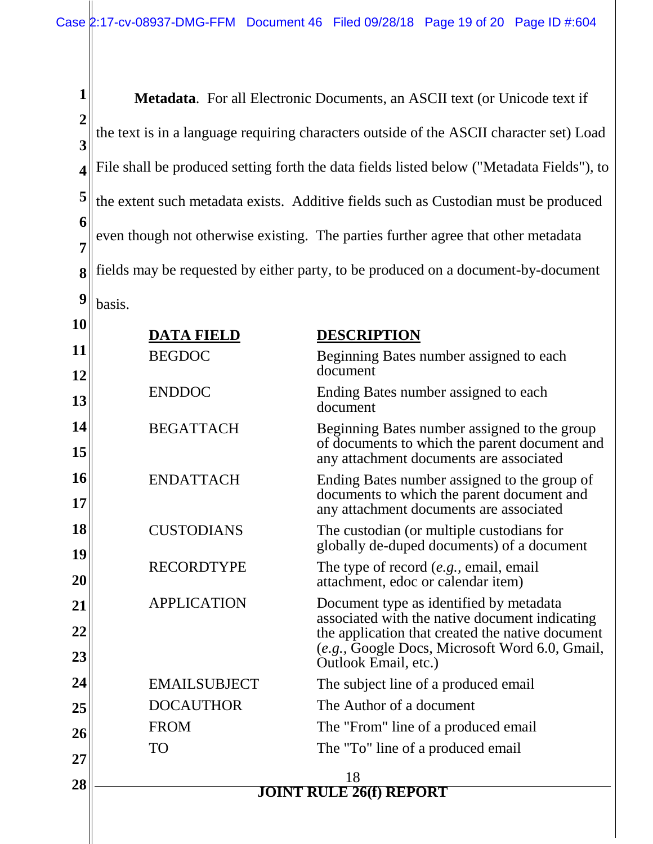**1 2 3 4 5 6 7 8 9 Metadata**. For all Electronic Documents, an ASCII text (or Unicode text if the text is in a language requiring characters outside of the ASCII character set) Load File shall be produced setting forth the data fields listed below ("Metadata Fields"), to the extent such metadata exists. Additive fields such as Custodian must be produced even though not otherwise existing. The parties further agree that other metadata fields may be requested by either party, to be produced on a document-by-document basis.

| 10       | <b>DATA FIELD</b>   | <b>DESCRIPTION</b>                                                                                                                       |
|----------|---------------------|------------------------------------------------------------------------------------------------------------------------------------------|
| 11       | <b>BEGDOC</b>       | Beginning Bates number assigned to each                                                                                                  |
| 12       |                     | document                                                                                                                                 |
| 13       | <b>ENDDOC</b>       | Ending Bates number assigned to each<br>document                                                                                         |
| 14<br>15 | <b>BEGATTACH</b>    | Beginning Bates number assigned to the group<br>of documents to which the parent document and<br>any attachment documents are associated |
| 16<br>17 | <b>ENDATTACH</b>    | Ending Bates number assigned to the group of<br>documents to which the parent document and<br>any attachment documents are associated    |
| 18<br>19 | <b>CUSTODIANS</b>   | The custodian (or multiple custodians for<br>globally de-duped documents) of a document                                                  |
| 20       | <b>RECORDTYPE</b>   | The type of record (e.g., email, email<br>attachment, edoc or calendar item)                                                             |
| 21       | <b>APPLICATION</b>  | Document type as identified by metadata<br>associated with the native document indicating                                                |
| 22       |                     | the application that created the native document                                                                                         |
| 23       |                     | (e.g., Google Docs, Microsoft Word 6.0, Gmail,<br>Outlook Email, etc.)                                                                   |
| 24       | <b>EMAILSUBJECT</b> | The subject line of a produced email                                                                                                     |
| 25       | <b>DOCAUTHOR</b>    | The Author of a document                                                                                                                 |
| 26       | <b>FROM</b>         | The "From" line of a produced email                                                                                                      |
| 27       | <b>TO</b>           | The "To" line of a produced email                                                                                                        |
| 28       | 18                  |                                                                                                                                          |
|          |                     | <b>JOINT RULE 26(f) REPORT</b>                                                                                                           |

∥